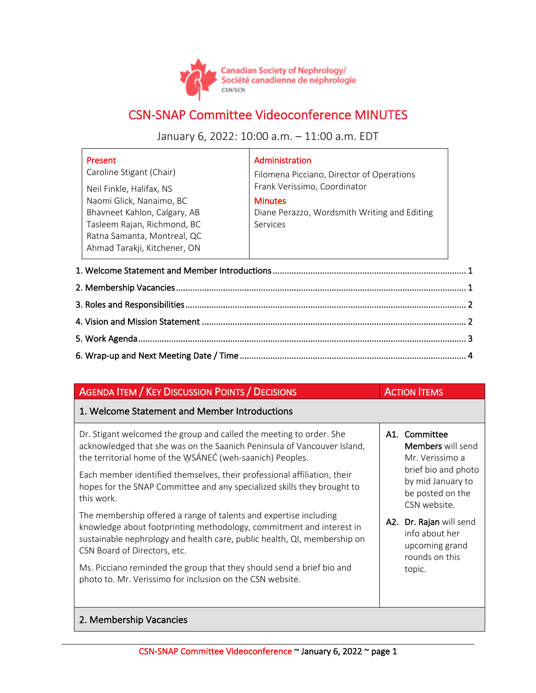

## CSN-SNAP Committee Videoconference MINUTES

January 6, 2022: 10:00 a.m. – 11:00 a.m. EDT

|                                               | Present                      | Administration                               |  |  |  |  |
|-----------------------------------------------|------------------------------|----------------------------------------------|--|--|--|--|
|                                               | Caroline Stigant (Chair)     | Filomena Picciano, Director of Operations    |  |  |  |  |
|                                               | Neil Finkle, Halifax, NS     | Frank Verissimo, Coordinator                 |  |  |  |  |
|                                               | Naomi Glick, Nanaimo, BC     | <b>Minutes</b>                               |  |  |  |  |
|                                               | Bhavneet Kahlon, Calgary, AB | Diane Perazzo, Wordsmith Writing and Editing |  |  |  |  |
|                                               | Tasleem Rajan, Richmond, BC  | Services                                     |  |  |  |  |
|                                               | Ratna Samanta, Montreal, QC  |                                              |  |  |  |  |
|                                               | Ahmad Tarakji, Kitchener, ON |                                              |  |  |  |  |
|                                               |                              |                                              |  |  |  |  |
| 1. Welcome Statement and Member Introductions |                              |                                              |  |  |  |  |
| 2. Membership Vacancies.                      |                              |                                              |  |  |  |  |

## AGENDA ITEM / KEY DISCUSSION POINTS / DECISIONS ACTION ITEMS 1. Welcome Statement and Member Introductions Dr. Stigant welcomed the group and called the meeting to order. She acknowledged that she was on the Saanich Peninsula of Vancouver Island, the territorial home of the WSÁNEĆ (weh-saanich) Peoples. Each member identified themselves, their professional affiliation, their hopes for the SNAP Committee and any specialized skills they brought to this work. The membership offered a range of talents and expertise including knowledge about footprinting methodology, commitment and interest in sustainable nephrology and health care, public health, QI, membership on CSN Board of Directors, etc. Ms. Picciano reminded the group that they should send a brief bio and photo to. Mr. Verissimo for inclusion on the CSN website. A1. Committee Members will send Mr. Verissimo a brief bio and photo by mid January to be posted on the CSN website. A2. Dr. Rajan will send info about her upcoming grand rounds on this topic. 2. Membership Vacancies

## CSN-SNAP Committee Videoconference ~ January 6, 2022 ~ page 1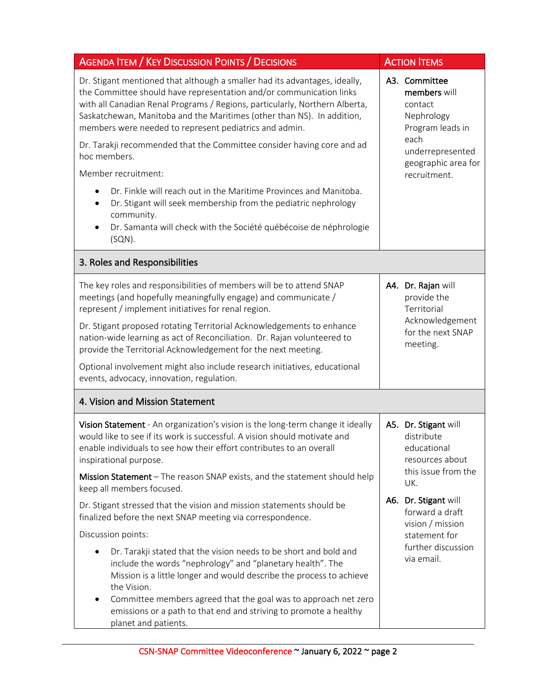| <b>AGENDA ITEM / KEY DISCUSSION POINTS / DECISIONS</b>                                                                                                                                                                                                                                                                                                                                                                                         |  | <b>ACTION ITEMS</b>                                                                                    |  |
|------------------------------------------------------------------------------------------------------------------------------------------------------------------------------------------------------------------------------------------------------------------------------------------------------------------------------------------------------------------------------------------------------------------------------------------------|--|--------------------------------------------------------------------------------------------------------|--|
| Dr. Stigant mentioned that although a smaller had its advantages, ideally,<br>the Committee should have representation and/or communication links<br>with all Canadian Renal Programs / Regions, particularly, Northern Alberta,<br>Saskatchewan, Manitoba and the Maritimes (other than NS). In addition,<br>members were needed to represent pediatrics and admin.<br>Dr. Tarakji recommended that the Committee consider having core and ad |  | A3. Committee<br>members will<br>contact<br>Nephrology<br>Program leads in<br>each<br>underrepresented |  |
| hoc members.<br>Member recruitment:                                                                                                                                                                                                                                                                                                                                                                                                            |  | geographic area for<br>recruitment.                                                                    |  |
| Dr. Finkle will reach out in the Maritime Provinces and Manitoba.<br>Dr. Stigant will seek membership from the pediatric nephrology<br>community.<br>Dr. Samanta will check with the Société québécoise de néphrologie<br>$(SQN)$ .                                                                                                                                                                                                            |  |                                                                                                        |  |
| 3. Roles and Responsibilities                                                                                                                                                                                                                                                                                                                                                                                                                  |  |                                                                                                        |  |
| The key roles and responsibilities of members will be to attend SNAP<br>meetings (and hopefully meaningfully engage) and communicate /<br>represent / implement initiatives for renal region.                                                                                                                                                                                                                                                  |  | A4. Dr. Rajan will<br>provide the<br>Territorial<br>Acknowledgement<br>for the next SNAP<br>meeting.   |  |
| Dr. Stigant proposed rotating Territorial Acknowledgements to enhance<br>nation-wide learning as act of Reconciliation. Dr. Rajan volunteered to<br>provide the Territorial Acknowledgement for the next meeting.                                                                                                                                                                                                                              |  |                                                                                                        |  |
| Optional involvement might also include research initiatives, educational<br>events, advocacy, innovation, regulation.                                                                                                                                                                                                                                                                                                                         |  |                                                                                                        |  |
| 4. Vision and Mission Statement                                                                                                                                                                                                                                                                                                                                                                                                                |  |                                                                                                        |  |
| Vision Statement - An organization's vision is the long-term change it ideally<br>would like to see if its work is successful. A vision should motivate and<br>enable individuals to see how their effort contributes to an overall<br>inspirational purpose.                                                                                                                                                                                  |  | A5. Dr. Stigant will<br>distribute<br>educational<br>resources about                                   |  |
| Mission Statement - The reason SNAP exists, and the statement should help<br>keep all members focused.                                                                                                                                                                                                                                                                                                                                         |  | this issue from the<br>UK.                                                                             |  |
| Dr. Stigant stressed that the vision and mission statements should be<br>finalized before the next SNAP meeting via correspondence.                                                                                                                                                                                                                                                                                                            |  | A6. Dr. Stigant will<br>forward a draft<br>vision / mission<br>statement for                           |  |
| Discussion points:                                                                                                                                                                                                                                                                                                                                                                                                                             |  |                                                                                                        |  |
| Dr. Tarakji stated that the vision needs to be short and bold and<br>include the words "nephrology" and "planetary health". The<br>Mission is a little longer and would describe the process to achieve<br>the Vision.                                                                                                                                                                                                                         |  | further discussion<br>via email.                                                                       |  |
| Committee members agreed that the goal was to approach net zero<br>emissions or a path to that end and striving to promote a healthy<br>planet and patients.                                                                                                                                                                                                                                                                                   |  |                                                                                                        |  |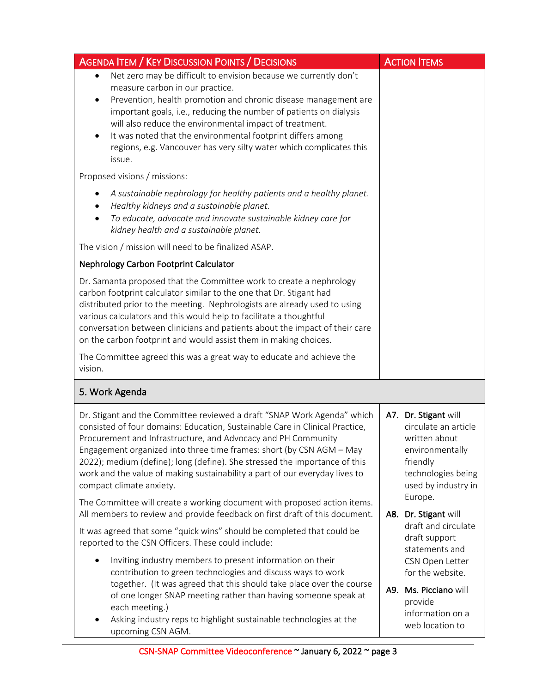| <b>AGENDA ITEM / KEY DISCUSSION POINTS / DECISIONS</b>                                                                                                                                                                                                                                                                                                                                                                                                                                         | <b>ACTION ITEMS</b>                                                                                                                       |
|------------------------------------------------------------------------------------------------------------------------------------------------------------------------------------------------------------------------------------------------------------------------------------------------------------------------------------------------------------------------------------------------------------------------------------------------------------------------------------------------|-------------------------------------------------------------------------------------------------------------------------------------------|
| Net zero may be difficult to envision because we currently don't<br>$\bullet$<br>measure carbon in our practice.<br>Prevention, health promotion and chronic disease management are<br>$\bullet$<br>important goals, i.e., reducing the number of patients on dialysis<br>will also reduce the environmental impact of treatment.<br>It was noted that the environmental footprint differs among<br>$\bullet$<br>regions, e.g. Vancouver has very silty water which complicates this<br>issue. |                                                                                                                                           |
| Proposed visions / missions:                                                                                                                                                                                                                                                                                                                                                                                                                                                                   |                                                                                                                                           |
| A sustainable nephrology for healthy patients and a healthy planet.<br>Healthy kidneys and a sustainable planet.<br>To educate, advocate and innovate sustainable kidney care for<br>$\bullet$<br>kidney health and a sustainable planet.                                                                                                                                                                                                                                                      |                                                                                                                                           |
| The vision / mission will need to be finalized ASAP.                                                                                                                                                                                                                                                                                                                                                                                                                                           |                                                                                                                                           |
| <b>Nephrology Carbon Footprint Calculator</b>                                                                                                                                                                                                                                                                                                                                                                                                                                                  |                                                                                                                                           |
| Dr. Samanta proposed that the Committee work to create a nephrology<br>carbon footprint calculator similar to the one that Dr. Stigant had<br>distributed prior to the meeting. Nephrologists are already used to using<br>various calculators and this would help to facilitate a thoughtful<br>conversation between clinicians and patients about the impact of their care<br>on the carbon footprint and would assist them in making choices.                                               |                                                                                                                                           |
| The Committee agreed this was a great way to educate and achieve the<br>vision.                                                                                                                                                                                                                                                                                                                                                                                                                |                                                                                                                                           |
| 5. Work Agenda                                                                                                                                                                                                                                                                                                                                                                                                                                                                                 |                                                                                                                                           |
| Dr. Stigant and the Committee reviewed a draft "SNAP Work Agenda" which<br>consisted of four domains: Education, Sustainable Care in Clinical Practice,<br>Procurement and Infrastructure, and Advocacy and PH Community<br>Engagement organized into three time frames: short (by CSN AGM - May<br>2022); medium (define); long (define). She stressed the importance of this<br>work and the value of making sustainability a part of our everyday lives to<br>compact climate anxiety.      | A7. Dr. Stigant will<br>circulate an article<br>written about<br>environmentally<br>friendly<br>technologies being<br>used by industry in |
| The Committee will create a working document with proposed action items.<br>All members to review and provide feedback on first draft of this document.                                                                                                                                                                                                                                                                                                                                        | Europe.<br>A8. Dr. Stigant will                                                                                                           |
| It was agreed that some "quick wins" should be completed that could be<br>reported to the CSN Officers. These could include:                                                                                                                                                                                                                                                                                                                                                                   | draft and circulate<br>draft support<br>statements and                                                                                    |
| Inviting industry members to present information on their<br>contribution to green technologies and discuss ways to work<br>together. (It was agreed that this should take place over the course<br>of one longer SNAP meeting rather than having someone speak at<br>each meeting.)<br>Asking industry reps to highlight sustainable technologies at the<br>upcoming CSN AGM.                                                                                                                 | CSN Open Letter<br>for the website.<br>A9. Ms. Picciano will<br>provide<br>information on a<br>web location to                            |